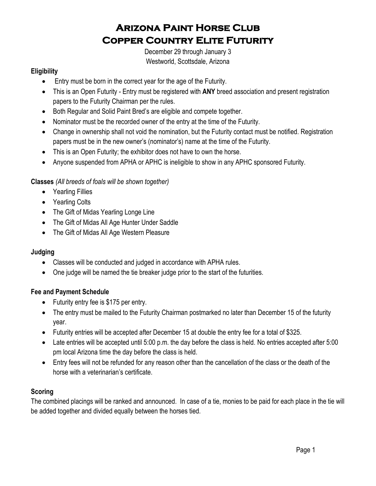# **Arizona Paint Horse Club Copper Country Elite Futurity**

December 29 through January 3 Westworld, Scottsdale, Arizona

## **Eligibility**

- Entry must be born in the correct year for the age of the Futurity.
- This is an Open Futurity Entry must be registered with **ANY** breed association and present registration papers to the Futurity Chairman per the rules.
- Both Regular and Solid Paint Bred's are eligible and compete together.
- Nominator must be the recorded owner of the entry at the time of the Futurity.
- Change in ownership shall not void the nomination, but the Futurity contact must be notified. Registration papers must be in the new owner's (nominator's) name at the time of the Futurity.
- This is an Open Futurity; the exhibitor does not have to own the horse.
- Anyone suspended from APHA or APHC is ineligible to show in any APHC sponsored Futurity.

## **Classes** *(All breeds of foals will be shown together)*

- Yearling Fillies
- Yearling Colts
- The Gift of Midas Yearling Longe Line
- The Gift of Midas All Age Hunter Under Saddle
- The Gift of Midas All Age Western Pleasure

## **Judging**

- Classes will be conducted and judged in accordance with APHA rules.
- One judge will be named the tie breaker judge prior to the start of the futurities.

## **Fee and Payment Schedule**

- Futurity entry fee is \$175 per entry.
- The entry must be mailed to the Futurity Chairman postmarked no later than December 15 of the futurity year.
- Futurity entries will be accepted after December 15 at double the entry fee for a total of \$325.
- Late entries will be accepted until 5:00 p.m. the day before the class is held. No entries accepted after 5:00 pm local Arizona time the day before the class is held.
- Entry fees will not be refunded for any reason other than the cancellation of the class or the death of the horse with a veterinarian's certificate.

# **Scoring**

The combined placings will be ranked and announced. In case of a tie, monies to be paid for each place in the tie will be added together and divided equally between the horses tied.